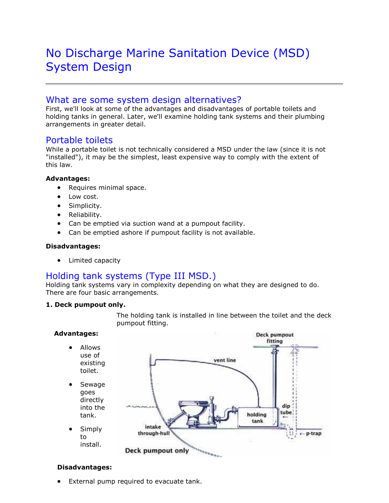# No Discharge Marine Sanitation Device (MSD) System Design

## What are some system design alternatives?

First, we'll look at some of the advantages and disadvantages of portable toilets and holding tanks in general. Later, we'll examine holding tank systems and their plumbing arrangements in greater detail.

### Portable toilets

While a portable toilet is not technically considered a MSD under the law (since it is not "installed"), it may be the simplest, least expensive way to comply with the extent of this law.

#### **Advantages:**

- Requires minimal space.
- Low cost.
- Simplicity.
- Reliability.
- Can be emptied via suction wand at a pumpout facility.
- Can be emptied ashore if pumpout facility is not available.

#### **Disadvantages:**

• Limited capacity

## Holding tank systems (Type III MSD.)

Holding tank systems vary in complexity depending on what they are designed to do. There are four basic arrangements.

#### **1. Deck pumpout only.**

The holding tank is installed in line between the toilet and the deck pumpout fitting.

#### **Advantages:**

- Allows use of existing toilet.
- Sewage goes directly into the tank.
- Simply to install.



#### **Disadvantages:**

• External pump required to evacuate tank.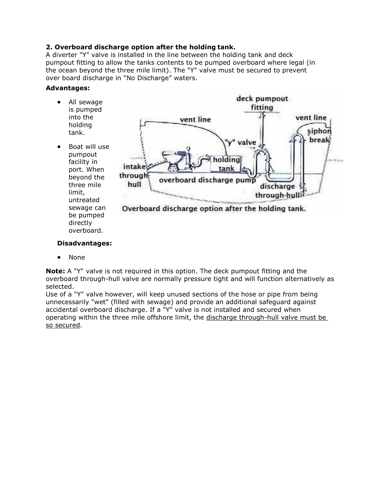#### **2. Overboard discharge option after the holding tank.**

A diverter "Y" valve is installed in the line between the holding tank and deck pumpout fitting to allow the tanks contents to be pumped overboard where legal (in the ocean beyond the three mile limit). The "Y" valve must be secured to prevent over board discharge in "No Discharge" waters.

#### **Advantages:**

- All sewage is pumped into the holding tank.
- Boat will use pumpout facility in port. When beyond the three mile limit, untreated sewage can be pumped directly overboard.



#### **Disadvantages:**

• None

**Note:** A "Y" valve is not required in this option. The deck pumpout fitting and the overboard through-hull valve are normally pressure tight and will function alternatively as selected.

Use of a "Y" valve however, will keep unused sections of the hose or pipe from being unnecessarily "wet" (filled with sewage) and provide an additional safeguard against accidental overboard discharge. If a "Y" valve is not installed and secured when operating within the three mile offshore limit, the discharge through-hull valve must be so secured.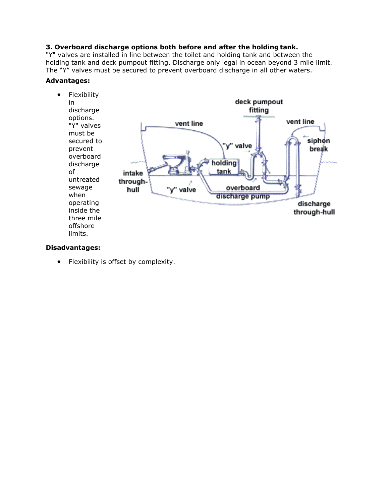#### **3. Overboard discharge options both before and after the holding tank.**

"Y" valves are installed in line between the toilet and holding tank and between the holding tank and deck pumpout fitting. Discharge only legal in ocean beyond 3 mile limit. The "Y" valves must be secured to prevent overboard discharge in all other waters.

#### **Advantages:**



#### **Disadvantages:**

• Flexibility is offset by complexity.